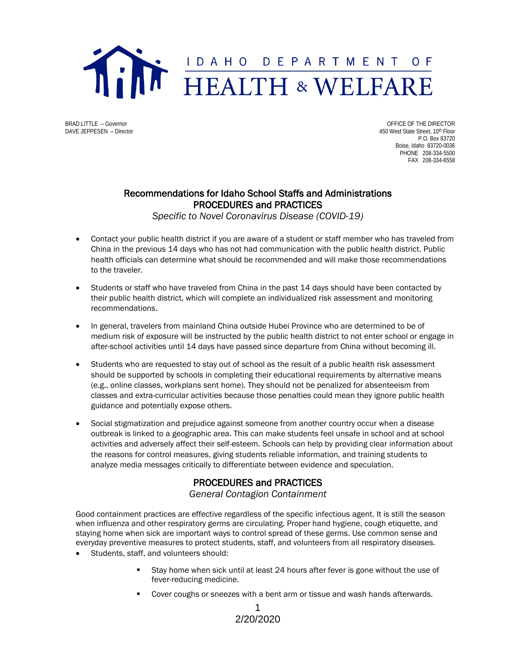

BRAD LITTLE – Governor CONFICE OF THE DIRECTOR CONFICE OF THE DIRECTOR CONFICE OF THE DIRECTOR<br>
BAVE JEPPESEN – Director CONFICENT CONFICENT CONFICENT AND THE OUTCOME OF THE DIRECTOR 450 West State Street, 10th Floor P.O. Box 83720 Boise, Idaho 83720-0036 PHONE 208-334-5500 FAX 208-334-6558

## Recommendations for Idaho School Staffs and Administrations PROCEDURES and PRACTICES

*Specific to Novel Coronavirus Disease (COVID-19)*

- Contact your public health district if you are aware of a student or staff member who has traveled from China in the previous 14 days who has not had communication with the public health district. Public health officials can determine what should be recommended and will make those recommendations to the traveler.
- Students or staff who have traveled from China in the past 14 days should have been contacted by their public health district, which will complete an individualized risk assessment and monitoring recommendations.
- In general, travelers from mainland China outside Hubei Province who are determined to be of medium risk of exposure will be instructed by the public health district to not enter school or engage in after-school activities until 14 days have passed since departure from China without becoming ill.
- Students who are requested to stay out of school as the result of a public health risk assessment should be supported by schools in completing their educational requirements by alternative means (e.g., online classes, workplans sent home). They should not be penalized for absenteeism from classes and extra-curricular activities because those penalties could mean they ignore public health guidance and potentially expose others.
- Social stigmatization and prejudice against someone from another country occur when a disease outbreak is linked to a geographic area. This can make students feel unsafe in school and at school activities and adversely affect their self-esteem. Schools can help by providing clear information about the reasons for control measures, giving students reliable information, and training students to analyze media messages critically to differentiate between evidence and speculation.

## PROCEDURES and PRACTICES

*General Contagion Containment*

Good containment practices are effective regardless of the specific infectious agent. It is still the season when influenza and other respiratory germs are circulating. Proper hand hygiene, cough etiquette, and staying home when sick are important ways to control spread of these germs. Use common sense and everyday preventive measures to protect students, staff, and volunteers from all respiratory diseases.

- Students, staff, and volunteers should:
	- Stay home when sick until at least 24 hours after fever is gone without the use of fever-reducing medicine.
	- Cover coughs or sneezes with a bent arm or tissue and wash hands afterwards.

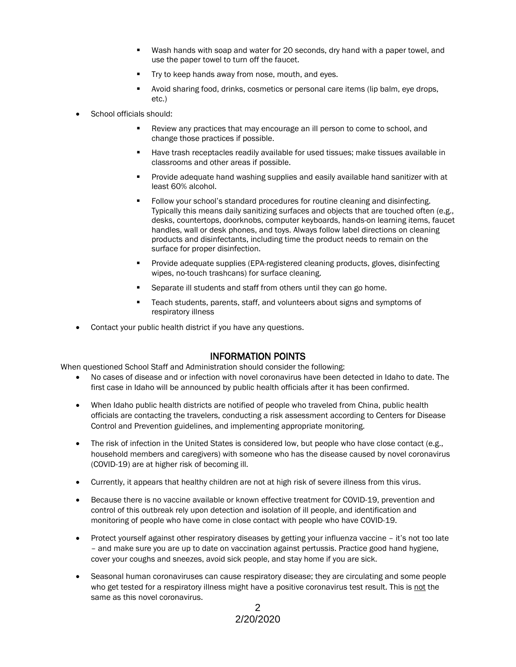- Wash hands with soap and water for 20 seconds, dry hand with a paper towel, and use the paper towel to turn off the faucet.
- Try to keep hands away from nose, mouth, and eyes.
- Avoid sharing food, drinks, cosmetics or personal care items (lip balm, eye drops, etc.)
- School officials should:
	- Review any practices that may encourage an ill person to come to school, and change those practices if possible.
	- Have trash receptacles readily available for used tissues; make tissues available in classrooms and other areas if possible.
	- Provide adequate hand washing supplies and easily available hand sanitizer with at least 60% alcohol.
	- Follow your school's standard procedures for routine cleaning and disinfecting. Typically this means daily sanitizing surfaces and objects that are touched often (e.g., desks, countertops, doorknobs, computer keyboards, hands-on learning items, faucet handles, wall or desk phones, and toys. Always follow label directions on cleaning products and disinfectants, including time the product needs to remain on the surface for proper disinfection.
	- Provide adequate supplies (EPA-registered cleaning products, gloves, disinfecting wipes, no-touch trashcans) for surface cleaning.
	- Separate ill students and staff from others until they can go home.
	- Teach students, parents, staff, and volunteers about signs and symptoms of respiratory illness
- Contact your public health district if you have any questions.

**INFORMATION POINTS**<br>When questioned School Staff and Administration should consider the following:

- No cases of disease and or infection with novel coronavirus have been detected in Idaho to date. The first case in Idaho will be announced by public health officials after it has been confirmed.
- When Idaho public health districts are notified of people who traveled from China, public health officials are contacting the travelers, conducting a risk assessment according to Centers for Disease Control and Prevention guidelines, and implementing appropriate monitoring.
- The risk of infection in the United States is considered low, but people who have close contact (e.g., household members and caregivers) with someone who has the disease caused by novel coronavirus (COVID-19) are at higher risk of becoming ill.
- Currently, it appears that healthy children are not at high risk of severe illness from this virus.
- Because there is no vaccine available or known effective treatment for COVID-19, prevention and control of this outbreak rely upon detection and isolation of ill people, and identification and monitoring of people who have come in close contact with people who have COVID-19.
- Protect yourself against other respiratory diseases by getting your influenza vaccine it's not too late – and make sure you are up to date on vaccination against pertussis. Practice good hand hygiene, cover your coughs and sneezes, avoid sick people, and stay home if you are sick.
- Seasonal human coronaviruses can cause respiratory disease; they are circulating and some people who get tested for a respiratory illness might have a positive coronavirus test result. This is not the same as this novel coronavirus.